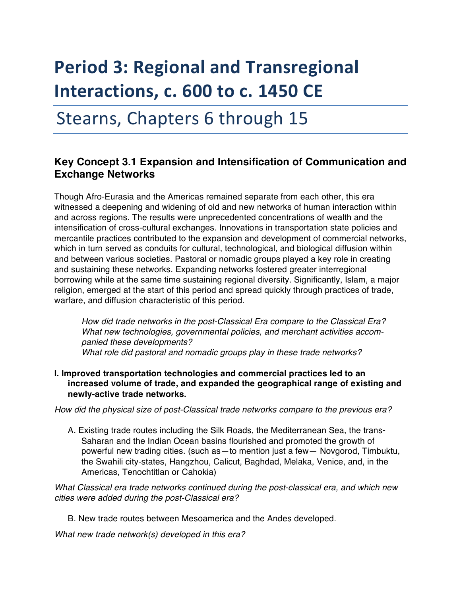# **Period 3: Regional and Transregional Interactions, c. 600 to c. 1450 CE**

## Stearns, Chapters 6 through 15

### **Key Concept 3.1 Expansion and Intensification of Communication and Exchange Networks**

Though Afro-Eurasia and the Americas remained separate from each other, this era witnessed a deepening and widening of old and new networks of human interaction within and across regions. The results were unprecedented concentrations of wealth and the intensification of cross-cultural exchanges. Innovations in transportation state policies and mercantile practices contributed to the expansion and development of commercial networks, which in turn served as conduits for cultural, technological, and biological diffusion within and between various societies. Pastoral or nomadic groups played a key role in creating and sustaining these networks. Expanding networks fostered greater interregional borrowing while at the same time sustaining regional diversity. Significantly, Islam, a major religion, emerged at the start of this period and spread quickly through practices of trade, warfare, and diffusion characteristic of this period.

*How did trade networks in the post-Classical Era compare to the Classical Era? What new technologies, governmental policies, and merchant activities accompanied these developments? What role did pastoral and nomadic groups play in these trade networks?* 

**I. Improved transportation technologies and commercial practices led to an increased volume of trade, and expanded the geographical range of existing and newly-active trade networks.** 

*How did the physical size of post-Classical trade networks compare to the previous era?* 

A. Existing trade routes including the Silk Roads, the Mediterranean Sea, the trans-Saharan and the Indian Ocean basins flourished and promoted the growth of powerful new trading cities. (such as—to mention just a few— Novgorod, Timbuktu, the Swahili city-states, Hangzhou, Calicut, Baghdad, Melaka, Venice, and, in the Americas, Tenochtitlan or Cahokia)

*What Classical era trade networks continued during the post-classical era, and which new cities were added during the post-Classical era?* 

B. New trade routes between Mesoamerica and the Andes developed.

*What new trade network(s) developed in this era?*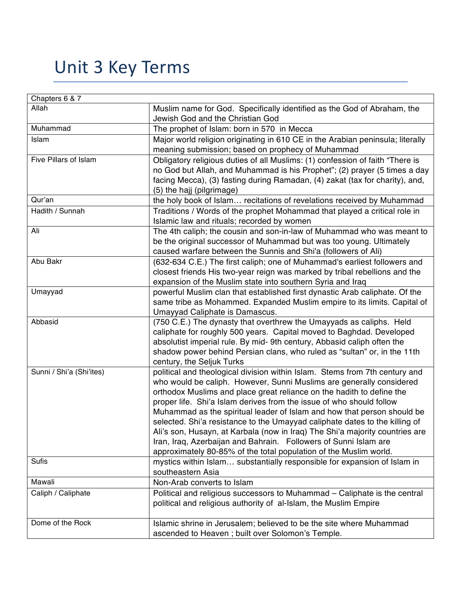## Unit 3 Key Terms

| Chapters 6 & 7           |                                                                                                                                               |
|--------------------------|-----------------------------------------------------------------------------------------------------------------------------------------------|
| Allah                    | Muslim name for God. Specifically identified as the God of Abraham, the                                                                       |
|                          | Jewish God and the Christian God                                                                                                              |
| Muhammad                 | The prophet of Islam: born in 570 in Mecca                                                                                                    |
| Islam                    | Major world religion originating in 610 CE in the Arabian peninsula; literally                                                                |
|                          | meaning submission; based on prophecy of Muhammad                                                                                             |
| Five Pillars of Islam    | Obligatory religious duties of all Muslims: (1) confession of faith "There is                                                                 |
|                          | no God but Allah, and Muhammad is his Prophet"; (2) prayer (5 times a day                                                                     |
|                          | facing Mecca), (3) fasting during Ramadan, (4) zakat (tax for charity), and,                                                                  |
|                          | (5) the hajj (pilgrimage)                                                                                                                     |
| Qur'an                   | the holy book of Islam recitations of revelations received by Muhammad                                                                        |
| Hadith / Sunnah          | Traditions / Words of the prophet Mohammad that played a critical role in                                                                     |
|                          | Islamic law and rituals; recorded by women                                                                                                    |
| Ali                      | The 4th caliph; the cousin and son-in-law of Muhammad who was meant to                                                                        |
|                          | be the original successor of Muhammad but was too young. Ultimately                                                                           |
|                          | caused warfare between the Sunnis and Shi'a (followers of Ali)                                                                                |
| Abu Bakr                 | (632-634 C.E.) The first caliph; one of Muhammad's earliest followers and                                                                     |
|                          | closest friends His two-year reign was marked by tribal rebellions and the                                                                    |
|                          | expansion of the Muslim state into southern Syria and Iraq                                                                                    |
| Umayyad                  | powerful Muslim clan that established first dynastic Arab caliphate. Of the                                                                   |
|                          | same tribe as Mohammed. Expanded Muslim empire to its limits. Capital of                                                                      |
|                          | Umayyad Caliphate is Damascus.                                                                                                                |
| Abbasid                  | (750 C.E.) The dynasty that overthrew the Umayyads as caliphs. Held                                                                           |
|                          | caliphate for roughly 500 years. Capital moved to Baghdad. Developed                                                                          |
|                          | absolutist imperial rule. By mid-9th century, Abbasid caliph often the                                                                        |
|                          | shadow power behind Persian clans, who ruled as "sultan" or, in the 11th                                                                      |
|                          | century, the Seljuk Turks                                                                                                                     |
| Sunni / Shi'a (Shi'ites) | political and theological division within Islam. Stems from 7th century and                                                                   |
|                          | who would be caliph. However, Sunni Muslims are generally considered<br>orthodox Muslims and place great reliance on the hadith to define the |
|                          | proper life. Shi'a Islam derives from the issue of who should follow                                                                          |
|                          | Muhammad as the spiritual leader of Islam and how that person should be                                                                       |
|                          | selected. Shi'a resistance to the Umayyad caliphate dates to the killing of                                                                   |
|                          | Ali's son, Husayn, at Karbala (now in Iraq) The Shi'a majority countries are                                                                  |
|                          | Iran, Iraq, Azerbaijan and Bahrain. Followers of Sunni Islam are                                                                              |
|                          | approximately 80-85% of the total population of the Muslim world.                                                                             |
| <b>Sufis</b>             | mystics within Islam substantially responsible for expansion of Islam in                                                                      |
|                          | southeastern Asia                                                                                                                             |
| Mawali                   | Non-Arab converts to Islam                                                                                                                    |
| Caliph / Caliphate       | Political and religious successors to Muhammad - Caliphate is the central                                                                     |
|                          | political and religious authority of al-Islam, the Muslim Empire                                                                              |
|                          |                                                                                                                                               |
| Dome of the Rock         | Islamic shrine in Jerusalem; believed to be the site where Muhammad                                                                           |
|                          | ascended to Heaven ; built over Solomon's Temple.                                                                                             |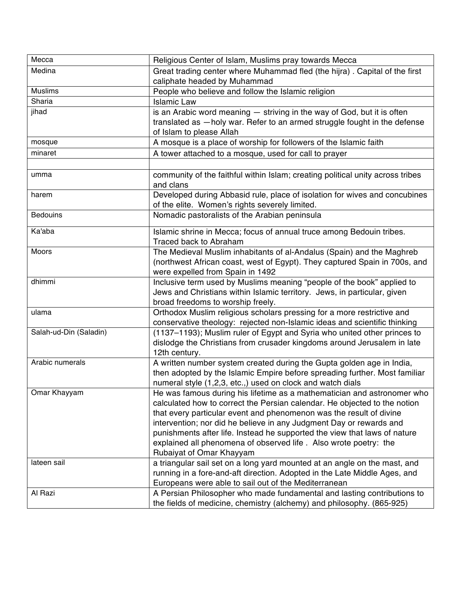| Mecca                  | Religious Center of Islam, Muslims pray towards Mecca                          |
|------------------------|--------------------------------------------------------------------------------|
| Medina                 | Great trading center where Muhammad fled (the hijra). Capital of the first     |
|                        | caliphate headed by Muhammad                                                   |
| <b>Muslims</b>         | People who believe and follow the Islamic religion                             |
| Sharia                 | <b>Islamic Law</b>                                                             |
| jihad                  | is an Arabic word meaning - striving in the way of God, but it is often        |
|                        | translated as -holy war. Refer to an armed struggle fought in the defense      |
|                        | of Islam to please Allah                                                       |
| mosque                 | A mosque is a place of worship for followers of the Islamic faith              |
| minaret                | A tower attached to a mosque, used for call to prayer                          |
|                        |                                                                                |
| umma                   | community of the faithful within Islam; creating political unity across tribes |
|                        | and clans                                                                      |
| harem                  | Developed during Abbasid rule, place of isolation for wives and concubines     |
|                        | of the elite. Women's rights severely limited.                                 |
| <b>Bedouins</b>        | Nomadic pastoralists of the Arabian peninsula                                  |
|                        |                                                                                |
| Ka'aba                 | Islamic shrine in Mecca; focus of annual truce among Bedouin tribes.           |
|                        | Traced back to Abraham                                                         |
| <b>Moors</b>           | The Medieval Muslim inhabitants of al-Andalus (Spain) and the Maghreb          |
|                        | (northwest African coast, west of Egypt). They captured Spain in 700s, and     |
|                        | were expelled from Spain in 1492                                               |
| dhimmi                 | Inclusive term used by Muslims meaning "people of the book" applied to         |
|                        | Jews and Christians within Islamic territory. Jews, in particular, given       |
|                        | broad freedoms to worship freely.                                              |
| ulama                  | Orthodox Muslim religious scholars pressing for a more restrictive and         |
|                        | conservative theology: rejected non-Islamic ideas and scientific thinking      |
| Salah-ud-Din (Saladin) | (1137-1193); Muslim ruler of Egypt and Syria who united other princes to       |
|                        | dislodge the Christians from crusader kingdoms around Jerusalem in late        |
|                        | 12th century.                                                                  |
| Arabic numerals        | A written number system created during the Gupta golden age in India,          |
|                        | then adopted by the Islamic Empire before spreading further. Most familiar     |
|                        | numeral style (1,2,3, etc.,) used on clock and watch dials                     |
| Omar Khayyam           | He was famous during his lifetime as a mathematician and astronomer who        |
|                        | calculated how to correct the Persian calendar. He objected to the notion      |
|                        | that every particular event and phenomenon was the result of divine            |
|                        | intervention; nor did he believe in any Judgment Day or rewards and            |
|                        | punishments after life. Instead he supported the view that laws of nature      |
|                        | explained all phenomena of observed life. Also wrote poetry: the               |
|                        | Rubaiyat of Omar Khayyam                                                       |
| lateen sail            | a triangular sail set on a long yard mounted at an angle on the mast, and      |
|                        | running in a fore-and-aft direction. Adopted in the Late Middle Ages, and      |
|                        | Europeans were able to sail out of the Mediterranean                           |
| Al Razi                |                                                                                |
|                        | A Persian Philosopher who made fundamental and lasting contributions to        |
|                        | the fields of medicine, chemistry (alchemy) and philosophy. (865-925)          |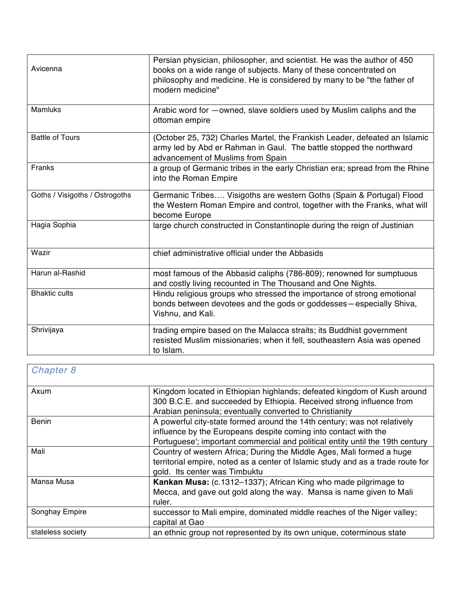| Avicenna                       | Persian physician, philosopher, and scientist. He was the author of 450<br>books on a wide range of subjects. Many of these concentrated on<br>philosophy and medicine. He is considered by many to be "the father of<br>modern medicine" |
|--------------------------------|-------------------------------------------------------------------------------------------------------------------------------------------------------------------------------------------------------------------------------------------|
| <b>Mamluks</b>                 | Arabic word for -owned, slave soldiers used by Muslim caliphs and the<br>ottoman empire                                                                                                                                                   |
| <b>Battle of Tours</b>         | (October 25, 732) Charles Martel, the Frankish Leader, defeated an Islamic<br>army led by Abd er Rahman in Gaul. The battle stopped the northward<br>advancement of Muslims from Spain                                                    |
| Franks                         | a group of Germanic tribes in the early Christian era; spread from the Rhine<br>into the Roman Empire                                                                                                                                     |
| Goths / Visigoths / Ostrogoths | Germanic Tribes Visigoths are western Goths (Spain & Portugal) Flood<br>the Western Roman Empire and control, together with the Franks, what will<br>become Europe                                                                        |
| Hagia Sophia                   | large church constructed in Constantinople during the reign of Justinian                                                                                                                                                                  |
| Wazir                          | chief administrative official under the Abbasids                                                                                                                                                                                          |
| Harun al-Rashid                | most famous of the Abbasid caliphs (786-809); renowned for sumptuous<br>and costly living recounted in The Thousand and One Nights.                                                                                                       |
| <b>Bhaktic cults</b>           | Hindu religious groups who stressed the importance of strong emotional<br>bonds between devotees and the gods or goddesses-especially Shiva,<br>Vishnu, and Kali.                                                                         |
| Shrivijaya                     | trading empire based on the Malacca straits; its Buddhist government<br>resisted Muslim missionaries; when it fell, southeastern Asia was opened<br>to Islam.                                                                             |

| Chapter 8         |                                                                                                                                                                                                                              |
|-------------------|------------------------------------------------------------------------------------------------------------------------------------------------------------------------------------------------------------------------------|
| Axum              | Kingdom located in Ethiopian highlands; defeated kingdom of Kush around<br>300 B.C.E. and succeeded by Ethiopia. Received strong influence from<br>Arabian peninsula; eventually converted to Christianity                   |
| <b>Benin</b>      | A powerful city-state formed around the 14th century; was not relatively<br>influence by the Europeans despite coming into contact with the<br>Portuguese'; important commercial and political entity until the 19th century |
| Mali              | Country of western Africa; During the Middle Ages, Mali formed a huge<br>territorial empire, noted as a center of Islamic study and as a trade route for<br>gold. Its center was Timbuktu                                    |
| Mansa Musa        | Kankan Musa: (c.1312–1337); African King who made pilgrimage to<br>Mecca, and gave out gold along the way. Mansa is name given to Mali<br>ruler.                                                                             |
| Songhay Empire    | successor to Mali empire, dominated middle reaches of the Niger valley;<br>capital at Gao                                                                                                                                    |
| stateless society | an ethnic group not represented by its own unique, coterminous state                                                                                                                                                         |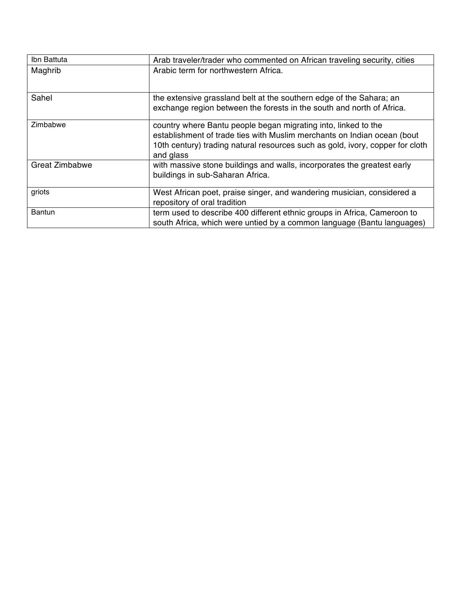| Ibn Battuta           | Arab traveler/trader who commented on African traveling security, cities                                                                                                                                                                |
|-----------------------|-----------------------------------------------------------------------------------------------------------------------------------------------------------------------------------------------------------------------------------------|
| Maghrib               | Arabic term for northwestern Africa.                                                                                                                                                                                                    |
| Sahel                 | the extensive grassland belt at the southern edge of the Sahara; an<br>exchange region between the forests in the south and north of Africa.                                                                                            |
| Zimbabwe              | country where Bantu people began migrating into, linked to the<br>establishment of trade ties with Muslim merchants on Indian ocean (bout<br>10th century) trading natural resources such as gold, ivory, copper for cloth<br>and glass |
| <b>Great Zimbabwe</b> | with massive stone buildings and walls, incorporates the greatest early<br>buildings in sub-Saharan Africa.                                                                                                                             |
| griots                | West African poet, praise singer, and wandering musician, considered a<br>repository of oral tradition                                                                                                                                  |
| <b>Bantun</b>         | term used to describe 400 different ethnic groups in Africa, Cameroon to<br>south Africa, which were untied by a common language (Bantu languages)                                                                                      |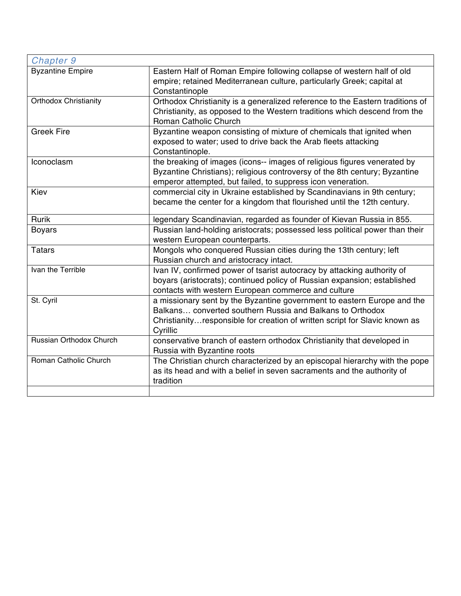| Chapter 9                    |                                                                                                                                                                                                                                 |
|------------------------------|---------------------------------------------------------------------------------------------------------------------------------------------------------------------------------------------------------------------------------|
| <b>Byzantine Empire</b>      | Eastern Half of Roman Empire following collapse of western half of old<br>empire; retained Mediterranean culture, particularly Greek; capital at<br>Constantinople                                                              |
| <b>Orthodox Christianity</b> | Orthodox Christianity is a generalized reference to the Eastern traditions of<br>Christianity, as opposed to the Western traditions which descend from the<br>Roman Catholic Church                                             |
| <b>Greek Fire</b>            | Byzantine weapon consisting of mixture of chemicals that ignited when<br>exposed to water; used to drive back the Arab fleets attacking<br>Constantinople.                                                                      |
| <b>Iconoclasm</b>            | the breaking of images (icons-- images of religious figures venerated by<br>Byzantine Christians); religious controversy of the 8th century; Byzantine<br>emperor attempted, but failed, to suppress icon veneration.           |
| Kiev                         | commercial city in Ukraine established by Scandinavians in 9th century;<br>became the center for a kingdom that flourished until the 12th century.                                                                              |
| Rurik                        | legendary Scandinavian, regarded as founder of Kievan Russia in 855.                                                                                                                                                            |
| <b>Boyars</b>                | Russian land-holding aristocrats; possessed less political power than their<br>western European counterparts.                                                                                                                   |
| <b>Tatars</b>                | Mongols who conquered Russian cities during the 13th century; left<br>Russian church and aristocracy intact.                                                                                                                    |
| Ivan the Terrible            | Ivan IV, confirmed power of tsarist autocracy by attacking authority of<br>boyars (aristocrats); continued policy of Russian expansion; established<br>contacts with western European commerce and culture                      |
| St. Cyril                    | a missionary sent by the Byzantine government to eastern Europe and the<br>Balkans converted southern Russia and Balkans to Orthodox<br>Christianity responsible for creation of written script for Slavic known as<br>Cyrillic |
| Russian Orthodox Church      | conservative branch of eastern orthodox Christianity that developed in<br>Russia with Byzantine roots                                                                                                                           |
| Roman Catholic Church        | The Christian church characterized by an episcopal hierarchy with the pope<br>as its head and with a belief in seven sacraments and the authority of<br>tradition                                                               |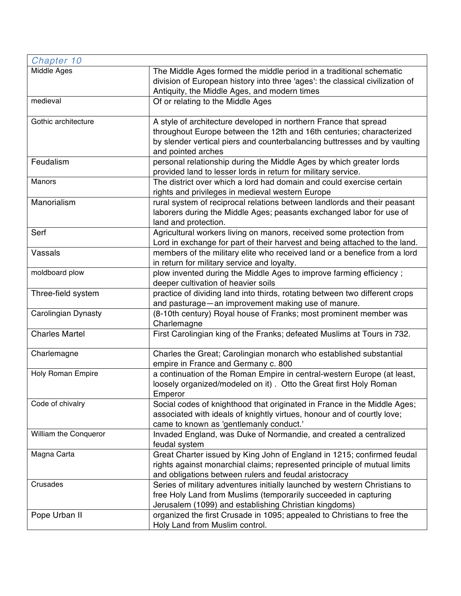| Chapter 10               |                                                                                                                                                                                                                                             |
|--------------------------|---------------------------------------------------------------------------------------------------------------------------------------------------------------------------------------------------------------------------------------------|
| Middle Ages              | The Middle Ages formed the middle period in a traditional schematic<br>division of European history into three 'ages': the classical civilization of<br>Antiquity, the Middle Ages, and modern times                                        |
| medieval                 | Of or relating to the Middle Ages                                                                                                                                                                                                           |
| Gothic architecture      | A style of architecture developed in northern France that spread<br>throughout Europe between the 12th and 16th centuries; characterized<br>by slender vertical piers and counterbalancing buttresses and by vaulting<br>and pointed arches |
| Feudalism                | personal relationship during the Middle Ages by which greater lords<br>provided land to lesser lords in return for military service.                                                                                                        |
| Manors                   | The district over which a lord had domain and could exercise certain<br>rights and privileges in medieval western Europe                                                                                                                    |
| Manorialism              | rural system of reciprocal relations between landlords and their peasant<br>laborers during the Middle Ages; peasants exchanged labor for use of<br>land and protection.                                                                    |
| Serf                     | Agricultural workers living on manors, received some protection from<br>Lord in exchange for part of their harvest and being attached to the land.                                                                                          |
| Vassals                  | members of the military elite who received land or a benefice from a lord<br>in return for military service and loyalty.                                                                                                                    |
| moldboard plow           | plow invented during the Middle Ages to improve farming efficiency;<br>deeper cultivation of heavier soils                                                                                                                                  |
| Three-field system       | practice of dividing land into thirds, rotating between two different crops<br>and pasturage - an improvement making use of manure.                                                                                                         |
| Carolingian Dynasty      | (8-10th century) Royal house of Franks; most prominent member was<br>Charlemagne                                                                                                                                                            |
| <b>Charles Martel</b>    | First Carolingian king of the Franks; defeated Muslims at Tours in 732.                                                                                                                                                                     |
| Charlemagne              | Charles the Great; Carolingian monarch who established substantial<br>empire in France and Germany c. 800                                                                                                                                   |
| <b>Holy Roman Empire</b> | a continuation of the Roman Empire in central-western Europe (at least,<br>loosely organized/modeled on it). Otto the Great first Holy Roman<br>Emperor                                                                                     |
| Code of chivalry         | Social codes of knighthood that originated in France in the Middle Ages;<br>associated with ideals of knightly virtues, honour and of courtly love;<br>came to known as 'gentlemanly conduct.'                                              |
| William the Conqueror    | Invaded England, was Duke of Normandie, and created a centralized<br>feudal system                                                                                                                                                          |
| Magna Carta              | Great Charter issued by King John of England in 1215; confirmed feudal<br>rights against monarchial claims; represented principle of mutual limits<br>and obligations between rulers and feudal aristocracy                                 |
| Crusades                 | Series of military adventures initially launched by western Christians to<br>free Holy Land from Muslims (temporarily succeeded in capturing<br>Jerusalem (1099) and establishing Christian kingdoms)                                       |
| Pope Urban II            | organized the first Crusade in 1095; appealed to Christians to free the<br>Holy Land from Muslim control.                                                                                                                                   |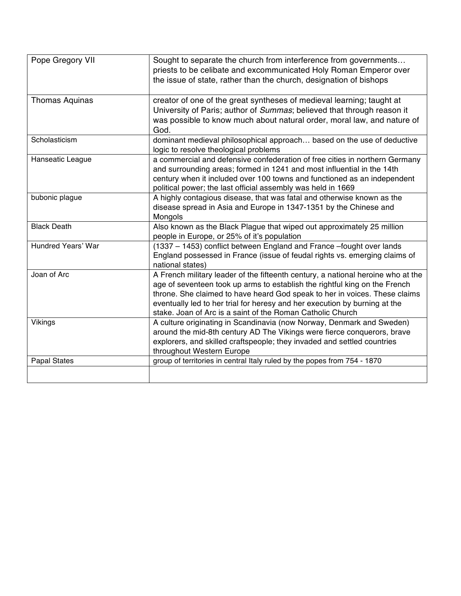| Pope Gregory VII    | Sought to separate the church from interference from governments<br>priests to be celibate and excommunicated Holy Roman Emperor over<br>the issue of state, rather than the church, designation of bishops                                                                                                                                                                              |
|---------------------|------------------------------------------------------------------------------------------------------------------------------------------------------------------------------------------------------------------------------------------------------------------------------------------------------------------------------------------------------------------------------------------|
| Thomas Aquinas      | creator of one of the great syntheses of medieval learning; taught at<br>University of Paris; author of Summas; believed that through reason it<br>was possible to know much about natural order, moral law, and nature of<br>God.                                                                                                                                                       |
| Scholasticism       | dominant medieval philosophical approach based on the use of deductive<br>logic to resolve theological problems                                                                                                                                                                                                                                                                          |
| Hanseatic League    | a commercial and defensive confederation of free cities in northern Germany<br>and surrounding areas; formed in 1241 and most influential in the 14th<br>century when it included over 100 towns and functioned as an independent<br>political power; the last official assembly was held in 1669                                                                                        |
| bubonic plague      | A highly contagious disease, that was fatal and otherwise known as the<br>disease spread in Asia and Europe in 1347-1351 by the Chinese and<br>Mongols                                                                                                                                                                                                                                   |
| <b>Black Death</b>  | Also known as the Black Plague that wiped out approximately 25 million<br>people in Europe, or 25% of it's population                                                                                                                                                                                                                                                                    |
| Hundred Years' War  | (1337 - 1453) conflict between England and France -fought over lands<br>England possessed in France (issue of feudal rights vs. emerging claims of<br>national states)                                                                                                                                                                                                                   |
| Joan of Arc         | A French military leader of the fifteenth century, a national heroine who at the<br>age of seventeen took up arms to establish the rightful king on the French<br>throne. She claimed to have heard God speak to her in voices. These claims<br>eventually led to her trial for heresy and her execution by burning at the<br>stake. Joan of Arc is a saint of the Roman Catholic Church |
| Vikings             | A culture originating in Scandinavia (now Norway, Denmark and Sweden)<br>around the mid-8th century AD The Vikings were fierce conquerors, brave<br>explorers, and skilled craftspeople; they invaded and settled countries<br>throughout Western Europe                                                                                                                                 |
| <b>Papal States</b> | group of territories in central Italy ruled by the popes from 754 - 1870                                                                                                                                                                                                                                                                                                                 |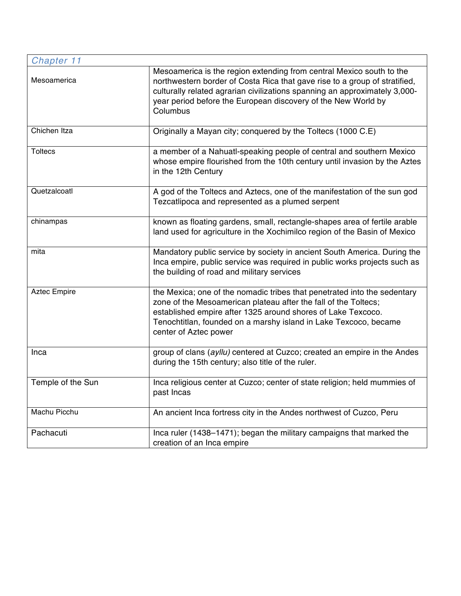| Chapter 11          |                                                                                                                                                                                                                                                                                                               |
|---------------------|---------------------------------------------------------------------------------------------------------------------------------------------------------------------------------------------------------------------------------------------------------------------------------------------------------------|
| Mesoamerica         | Mesoamerica is the region extending from central Mexico south to the<br>northwestern border of Costa Rica that gave rise to a group of stratified,<br>culturally related agrarian civilizations spanning an approximately 3,000-<br>year period before the European discovery of the New World by<br>Columbus |
| Chichen Itza        | Originally a Mayan city; conquered by the Toltecs (1000 C.E)                                                                                                                                                                                                                                                  |
| <b>Toltecs</b>      | a member of a Nahuatl-speaking people of central and southern Mexico<br>whose empire flourished from the 10th century until invasion by the Aztes<br>in the 12th Century                                                                                                                                      |
| Quetzalcoatl        | A god of the Toltecs and Aztecs, one of the manifestation of the sun god<br>Tezcatlipoca and represented as a plumed serpent                                                                                                                                                                                  |
| chinampas           | known as floating gardens, small, rectangle-shapes area of fertile arable<br>land used for agriculture in the Xochimilco region of the Basin of Mexico                                                                                                                                                        |
| mita                | Mandatory public service by society in ancient South America. During the<br>Inca empire, public service was required in public works projects such as<br>the building of road and military services                                                                                                           |
| <b>Aztec Empire</b> | the Mexica; one of the nomadic tribes that penetrated into the sedentary<br>zone of the Mesoamerican plateau after the fall of the Toltecs;<br>established empire after 1325 around shores of Lake Texcoco.<br>Tenochtitlan, founded on a marshy island in Lake Texcoco, became<br>center of Aztec power      |
| Inca                | group of clans (ayllu) centered at Cuzco; created an empire in the Andes<br>during the 15th century; also title of the ruler.                                                                                                                                                                                 |
| Temple of the Sun   | Inca religious center at Cuzco; center of state religion; held mummies of<br>past Incas                                                                                                                                                                                                                       |
| Machu Picchu        | An ancient Inca fortress city in the Andes northwest of Cuzco, Peru                                                                                                                                                                                                                                           |
| Pachacuti           | Inca ruler (1438-1471); began the military campaigns that marked the<br>creation of an Inca empire                                                                                                                                                                                                            |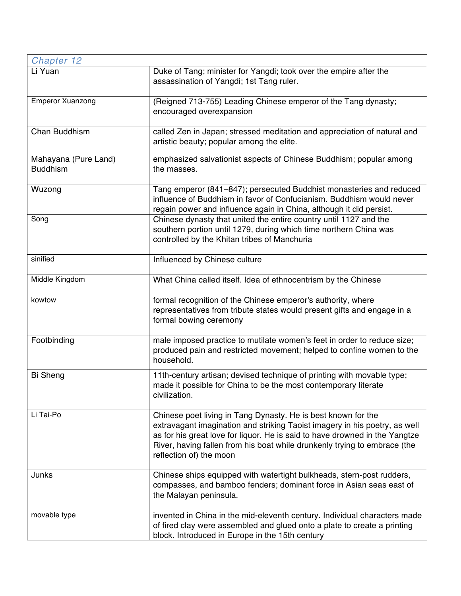| Chapter 12                              |                                                                                                                                                                                                                                                                                                                                    |
|-----------------------------------------|------------------------------------------------------------------------------------------------------------------------------------------------------------------------------------------------------------------------------------------------------------------------------------------------------------------------------------|
| Li Yuan                                 | Duke of Tang; minister for Yangdi; took over the empire after the<br>assassination of Yangdi; 1st Tang ruler.                                                                                                                                                                                                                      |
| <b>Emperor Xuanzong</b>                 | (Reigned 713-755) Leading Chinese emperor of the Tang dynasty;<br>encouraged overexpansion                                                                                                                                                                                                                                         |
| Chan Buddhism                           | called Zen in Japan; stressed meditation and appreciation of natural and<br>artistic beauty; popular among the elite.                                                                                                                                                                                                              |
| Mahayana (Pure Land)<br><b>Buddhism</b> | emphasized salvationist aspects of Chinese Buddhism; popular among<br>the masses.                                                                                                                                                                                                                                                  |
| Wuzong                                  | Tang emperor (841–847); persecuted Buddhist monasteries and reduced<br>influence of Buddhism in favor of Confucianism. Buddhism would never<br>regain power and influence again in China, although it did persist.                                                                                                                 |
| Song                                    | Chinese dynasty that united the entire country until 1127 and the<br>southern portion until 1279, during which time northern China was<br>controlled by the Khitan tribes of Manchuria                                                                                                                                             |
| sinified                                | Influenced by Chinese culture                                                                                                                                                                                                                                                                                                      |
| Middle Kingdom                          | What China called itself. Idea of ethnocentrism by the Chinese                                                                                                                                                                                                                                                                     |
| kowtow                                  | formal recognition of the Chinese emperor's authority, where<br>representatives from tribute states would present gifts and engage in a<br>formal bowing ceremony                                                                                                                                                                  |
| Footbinding                             | male imposed practice to mutilate women's feet in order to reduce size;<br>produced pain and restricted movement; helped to confine women to the<br>household.                                                                                                                                                                     |
| <b>Bi Sheng</b>                         | 11th-century artisan; devised technique of printing with movable type;<br>made it possible for China to be the most contemporary literate<br>civilization.                                                                                                                                                                         |
| Li Tai-Po                               | Chinese poet living in Tang Dynasty. He is best known for the<br>extravagant imagination and striking Taoist imagery in his poetry, as well<br>as for his great love for liquor. He is said to have drowned in the Yangtze<br>River, having fallen from his boat while drunkenly trying to embrace (the<br>reflection of) the moon |
| Junks                                   | Chinese ships equipped with watertight bulkheads, stern-post rudders,<br>compasses, and bamboo fenders; dominant force in Asian seas east of<br>the Malayan peninsula.                                                                                                                                                             |
| movable type                            | invented in China in the mid-eleventh century. Individual characters made<br>of fired clay were assembled and glued onto a plate to create a printing<br>block. Introduced in Europe in the 15th century                                                                                                                           |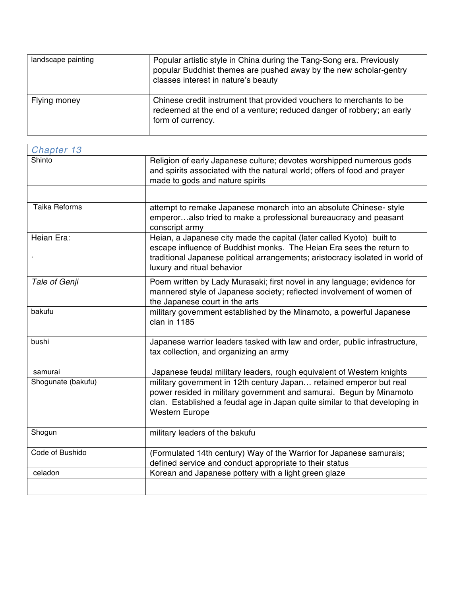| landscape painting | Popular artistic style in China during the Tang-Song era. Previously<br>popular Buddhist themes are pushed away by the new scholar-gentry<br>classes interest in nature's beauty |
|--------------------|----------------------------------------------------------------------------------------------------------------------------------------------------------------------------------|
| Flying money       | Chinese credit instrument that provided vouchers to merchants to be<br>redeemed at the end of a venture; reduced danger of robbery; an early<br>form of currency.                |

| Chapter 13           |                                                                                                                                                                                                                                                              |
|----------------------|--------------------------------------------------------------------------------------------------------------------------------------------------------------------------------------------------------------------------------------------------------------|
| Shinto               | Religion of early Japanese culture; devotes worshipped numerous gods<br>and spirits associated with the natural world; offers of food and prayer<br>made to gods and nature spirits                                                                          |
|                      |                                                                                                                                                                                                                                                              |
| <b>Taika Reforms</b> | attempt to remake Japanese monarch into an absolute Chinese- style<br>emperoralso tried to make a professional bureaucracy and peasant<br>conscript army                                                                                                     |
| Heian Era:           | Heian, a Japanese city made the capital (later called Kyoto) built to<br>escape influence of Buddhist monks. The Heian Era sees the return to<br>traditional Japanese political arrangements; aristocracy isolated in world of<br>luxury and ritual behavior |
| Tale of Genji        | Poem written by Lady Murasaki; first novel in any language; evidence for<br>mannered style of Japanese society; reflected involvement of women of<br>the Japanese court in the arts                                                                          |
| bakufu               | military government established by the Minamoto, a powerful Japanese<br>clan in 1185                                                                                                                                                                         |
| bushi                | Japanese warrior leaders tasked with law and order, public infrastructure,<br>tax collection, and organizing an army                                                                                                                                         |
| samurai              | Japanese feudal military leaders, rough equivalent of Western knights                                                                                                                                                                                        |
| Shogunate (bakufu)   | military government in 12th century Japan retained emperor but real<br>power resided in military government and samurai. Begun by Minamoto<br>clan. Established a feudal age in Japan quite similar to that developing in<br><b>Western Europe</b>           |
| Shogun               | military leaders of the bakufu                                                                                                                                                                                                                               |
| Code of Bushido      | (Formulated 14th century) Way of the Warrior for Japanese samurais;<br>defined service and conduct appropriate to their status                                                                                                                               |
| celadon              | Korean and Japanese pottery with a light green glaze                                                                                                                                                                                                         |
|                      |                                                                                                                                                                                                                                                              |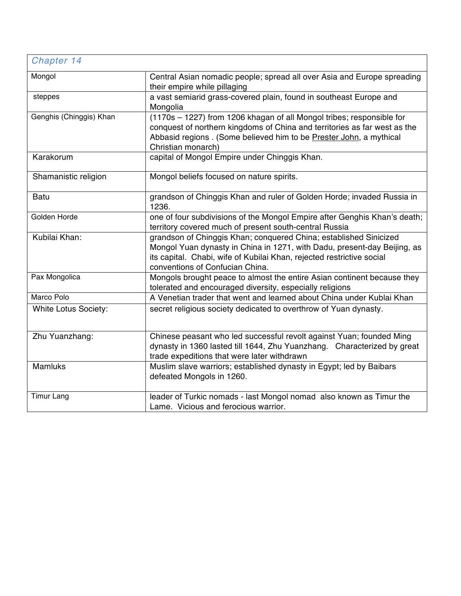| Chapter 14              |                                                                                                                                                                                                                                                           |
|-------------------------|-----------------------------------------------------------------------------------------------------------------------------------------------------------------------------------------------------------------------------------------------------------|
| Mongol                  | Central Asian nomadic people; spread all over Asia and Europe spreading<br>their empire while pillaging                                                                                                                                                   |
| steppes                 | a vast semiarid grass-covered plain, found in southeast Europe and<br>Mongolia                                                                                                                                                                            |
| Genghis (Chinggis) Khan | (1170s - 1227) from 1206 khagan of all Mongol tribes; responsible for<br>conquest of northern kingdoms of China and territories as far west as the<br>Abbasid regions . (Some believed him to be Prester John, a mythical<br>Christian monarch)           |
| Karakorum               | capital of Mongol Empire under Chinggis Khan.                                                                                                                                                                                                             |
| Shamanistic religion    | Mongol beliefs focused on nature spirits.                                                                                                                                                                                                                 |
| <b>Batu</b>             | grandson of Chinggis Khan and ruler of Golden Horde; invaded Russia in<br>1236.                                                                                                                                                                           |
| Golden Horde            | one of four subdivisions of the Mongol Empire after Genghis Khan's death;<br>territory covered much of present south-central Russia                                                                                                                       |
| Kubilai Khan:           | grandson of Chinggis Khan; conquered China; established Sinicized<br>Mongol Yuan dynasty in China in 1271, with Dadu, present-day Beijing, as<br>its capital. Chabi, wife of Kubilai Khan, rejected restrictive social<br>conventions of Confucian China. |
| Pax Mongolica           | Mongols brought peace to almost the entire Asian continent because they<br>tolerated and encouraged diversity, especially religions                                                                                                                       |
| Marco Polo              | A Venetian trader that went and learned about China under Kublai Khan                                                                                                                                                                                     |
| White Lotus Society:    | secret religious society dedicated to overthrow of Yuan dynasty.                                                                                                                                                                                          |
| Zhu Yuanzhang:          | Chinese peasant who led successful revolt against Yuan; founded Ming<br>dynasty in 1360 lasted till 1644, Zhu Yuanzhang. Characterized by great<br>trade expeditions that were later withdrawn                                                            |
| <b>Mamluks</b>          | Muslim slave warriors; established dynasty in Egypt; led by Baibars<br>defeated Mongols in 1260.                                                                                                                                                          |
| <b>Timur Lang</b>       | leader of Turkic nomads - last Mongol nomad also known as Timur the<br>Lame. Vicious and ferocious warrior.                                                                                                                                               |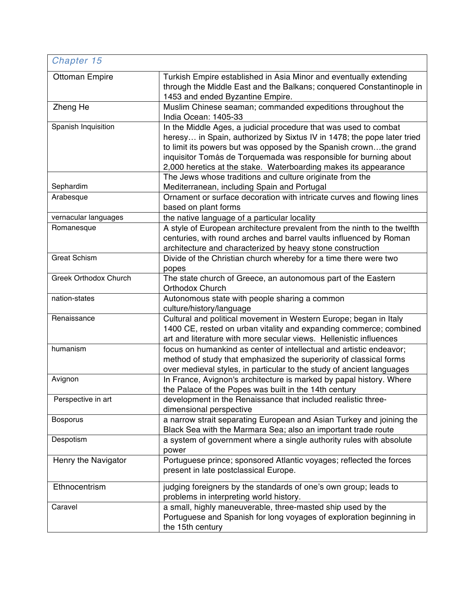| Chapter 15            |                                                                                                                                                                                                                                                                                                                                                        |
|-----------------------|--------------------------------------------------------------------------------------------------------------------------------------------------------------------------------------------------------------------------------------------------------------------------------------------------------------------------------------------------------|
| <b>Ottoman Empire</b> | Turkish Empire established in Asia Minor and eventually extending<br>through the Middle East and the Balkans; conquered Constantinople in<br>1453 and ended Byzantine Empire.                                                                                                                                                                          |
| Zheng He              | Muslim Chinese seaman; commanded expeditions throughout the<br>India Ocean: 1405-33                                                                                                                                                                                                                                                                    |
| Spanish Inquisition   | In the Middle Ages, a judicial procedure that was used to combat<br>heresy in Spain, authorized by Sixtus IV in 1478; the pope later tried<br>to limit its powers but was opposed by the Spanish crownthe grand<br>inquisitor Tomás de Torquemada was responsible for burning about<br>2,000 heretics at the stake. Waterboarding makes its appearance |
| Sephardim             | The Jews whose traditions and culture originate from the<br>Mediterranean, including Spain and Portugal                                                                                                                                                                                                                                                |
| Arabesque             | Ornament or surface decoration with intricate curves and flowing lines<br>based on plant forms                                                                                                                                                                                                                                                         |
| vernacular languages  | the native language of a particular locality                                                                                                                                                                                                                                                                                                           |
| Romanesque            | A style of European architecture prevalent from the ninth to the twelfth<br>centuries, with round arches and barrel vaults influenced by Roman<br>architecture and characterized by heavy stone construction                                                                                                                                           |
| <b>Great Schism</b>   | Divide of the Christian church whereby for a time there were two<br>popes                                                                                                                                                                                                                                                                              |
| Greek Orthodox Church | The state church of Greece, an autonomous part of the Eastern<br>Orthodox Church                                                                                                                                                                                                                                                                       |
| nation-states         | Autonomous state with people sharing a common<br>culture/history/language                                                                                                                                                                                                                                                                              |
| Renaissance           | Cultural and political movement in Western Europe; began in Italy<br>1400 CE, rested on urban vitality and expanding commerce; combined<br>art and literature with more secular views. Hellenistic influences                                                                                                                                          |
| humanism              | focus on humankind as center of intellectual and artistic endeavor;<br>method of study that emphasized the superiority of classical forms<br>over medieval styles, in particular to the study of ancient languages                                                                                                                                     |
| Avignon               | In France, Avignon's architecture is marked by papal history. Where<br>the Palace of the Popes was built in the 14th century                                                                                                                                                                                                                           |
| Perspective in art    | development in the Renaissance that included realistic three-<br>dimensional perspective                                                                                                                                                                                                                                                               |
| <b>Bosporus</b>       | a narrow strait separating European and Asian Turkey and joining the<br>Black Sea with the Marmara Sea; also an important trade route                                                                                                                                                                                                                  |
| Despotism             | a system of government where a single authority rules with absolute<br>power                                                                                                                                                                                                                                                                           |
| Henry the Navigator   | Portuguese prince; sponsored Atlantic voyages; reflected the forces<br>present in late postclassical Europe.                                                                                                                                                                                                                                           |
| Ethnocentrism         | judging foreigners by the standards of one's own group; leads to<br>problems in interpreting world history.                                                                                                                                                                                                                                            |
| Caravel               | a small, highly maneuverable, three-masted ship used by the<br>Portuguese and Spanish for long voyages of exploration beginning in<br>the 15th century                                                                                                                                                                                                 |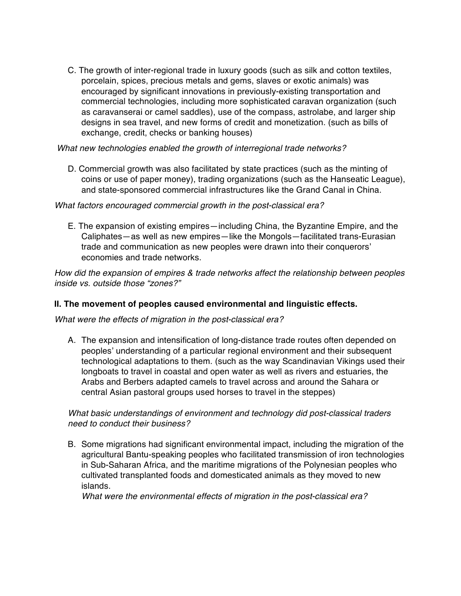C. The growth of inter-regional trade in luxury goods (such as silk and cotton textiles, porcelain, spices, precious metals and gems, slaves or exotic animals) was encouraged by significant innovations in previously-existing transportation and commercial technologies, including more sophisticated caravan organization (such as caravanserai or camel saddles), use of the compass, astrolabe, and larger ship designs in sea travel, and new forms of credit and monetization. (such as bills of exchange, credit, checks or banking houses)

*What new technologies enabled the growth of interregional trade networks?* 

D. Commercial growth was also facilitated by state practices (such as the minting of coins or use of paper money), trading organizations (such as the Hanseatic League), and state-sponsored commercial infrastructures like the Grand Canal in China.

#### *What factors encouraged commercial growth in the post-classical era?*

E. The expansion of existing empires—including China, the Byzantine Empire, and the Caliphates—as well as new empires—like the Mongols—facilitated trans-Eurasian trade and communication as new peoples were drawn into their conquerors' economies and trade networks.

*How did the expansion of empires & trade networks affect the relationship between peoples inside vs. outside those "zones?"*

#### **II. The movement of peoples caused environmental and linguistic effects.**

*What were the effects of migration in the post-classical era?*

A. The expansion and intensification of long-distance trade routes often depended on peoples' understanding of a particular regional environment and their subsequent technological adaptations to them. (such as the way Scandinavian Vikings used their longboats to travel in coastal and open water as well as rivers and estuaries, the Arabs and Berbers adapted camels to travel across and around the Sahara or central Asian pastoral groups used horses to travel in the steppes)

*What basic understandings of environment and technology did post-classical traders need to conduct their business?* 

B. Some migrations had significant environmental impact, including the migration of the agricultural Bantu-speaking peoples who facilitated transmission of iron technologies in Sub-Saharan Africa, and the maritime migrations of the Polynesian peoples who cultivated transplanted foods and domesticated animals as they moved to new islands.

*What were the environmental effects of migration in the post-classical era?*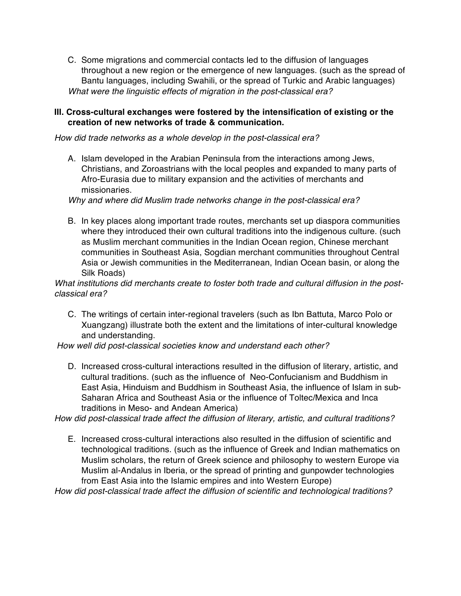C. Some migrations and commercial contacts led to the diffusion of languages throughout a new region or the emergence of new languages. (such as the spread of Bantu languages, including Swahili, or the spread of Turkic and Arabic languages) *What were the linguistic effects of migration in the post-classical era?* 

#### **III. Cross-cultural exchanges were fostered by the intensification of existing or the creation of new networks of trade & communication.**

*How did trade networks as a whole develop in the post-classical era?* 

A. Islam developed in the Arabian Peninsula from the interactions among Jews, Christians, and Zoroastrians with the local peoples and expanded to many parts of Afro-Eurasia due to military expansion and the activities of merchants and missionaries.

*Why and where did Muslim trade networks change in the post-classical era?* 

B. In key places along important trade routes, merchants set up diaspora communities where they introduced their own cultural traditions into the indigenous culture. (such as Muslim merchant communities in the Indian Ocean region, Chinese merchant communities in Southeast Asia, Sogdian merchant communities throughout Central Asia or Jewish communities in the Mediterranean, Indian Ocean basin, or along the Silk Roads)

*What institutions did merchants create to foster both trade and cultural diffusion in the postclassical era?* 

C. The writings of certain inter-regional travelers (such as Ibn Battuta, Marco Polo or Xuangzang) illustrate both the extent and the limitations of inter-cultural knowledge and understanding.

*How well did post-classical societies know and understand each other?* 

D. Increased cross-cultural interactions resulted in the diffusion of literary, artistic, and cultural traditions. (such as the influence of Neo-Confucianism and Buddhism in East Asia, Hinduism and Buddhism in Southeast Asia, the influence of Islam in sub-Saharan Africa and Southeast Asia or the influence of Toltec/Mexica and Inca traditions in Meso- and Andean America)

*How did post-classical trade affect the diffusion of literary, artistic, and cultural traditions?* 

E. Increased cross-cultural interactions also resulted in the diffusion of scientific and technological traditions. (such as the influence of Greek and Indian mathematics on Muslim scholars, the return of Greek science and philosophy to western Europe via Muslim al-Andalus in Iberia, or the spread of printing and gunpowder technologies from East Asia into the Islamic empires and into Western Europe)

*How did post-classical trade affect the diffusion of scientific and technological traditions?*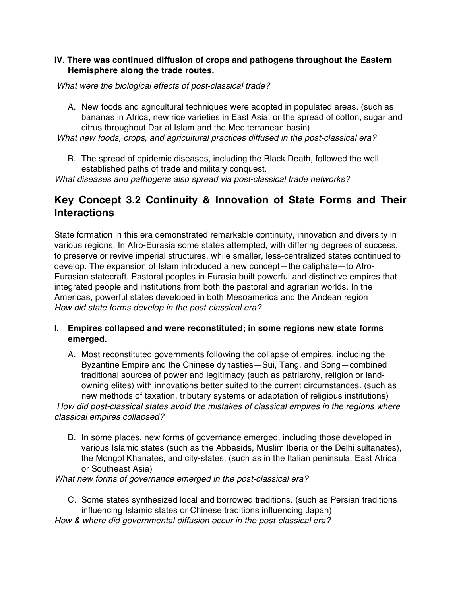#### **IV. There was continued diffusion of crops and pathogens throughout the Eastern Hemisphere along the trade routes.**

*What were the biological effects of post-classical trade?*

A. New foods and agricultural techniques were adopted in populated areas. (such as bananas in Africa, new rice varieties in East Asia, or the spread of cotton, sugar and citrus throughout Dar-al Islam and the Mediterranean basin)

*What new foods, crops, and agricultural practices diffused in the post-classical era?* 

B. The spread of epidemic diseases, including the Black Death, followed the wellestablished paths of trade and military conquest.

*What diseases and pathogens also spread via post-classical trade networks?* 

### **Key Concept 3.2 Continuity & Innovation of State Forms and Their Interactions**

State formation in this era demonstrated remarkable continuity, innovation and diversity in various regions. In Afro-Eurasia some states attempted, with differing degrees of success, to preserve or revive imperial structures, while smaller, less-centralized states continued to develop. The expansion of Islam introduced a new concept—the caliphate—to Afro-Eurasian statecraft. Pastoral peoples in Eurasia built powerful and distinctive empires that integrated people and institutions from both the pastoral and agrarian worlds. In the Americas, powerful states developed in both Mesoamerica and the Andean region *How did state forms develop in the post-classical era?*

- **I. Empires collapsed and were reconstituted; in some regions new state forms emerged.**
- A. Most reconstituted governments following the collapse of empires, including the Byzantine Empire and the Chinese dynasties—Sui, Tang, and Song—combined traditional sources of power and legitimacy (such as patriarchy, religion or landowning elites) with innovations better suited to the current circumstances. (such as new methods of taxation, tributary systems or adaptation of religious institutions) *How did post-classical states avoid the mistakes of classical empires in the regions where classical empires collapsed?* 
	- B. In some places, new forms of governance emerged, including those developed in various Islamic states (such as the Abbasids, Muslim Iberia or the Delhi sultanates), the Mongol Khanates, and city-states. (such as in the Italian peninsula, East Africa or Southeast Asia)

*What new forms of governance emerged in the post-classical era?* 

C. Some states synthesized local and borrowed traditions. (such as Persian traditions influencing Islamic states or Chinese traditions influencing Japan)

*How & where did governmental diffusion occur in the post-classical era?*